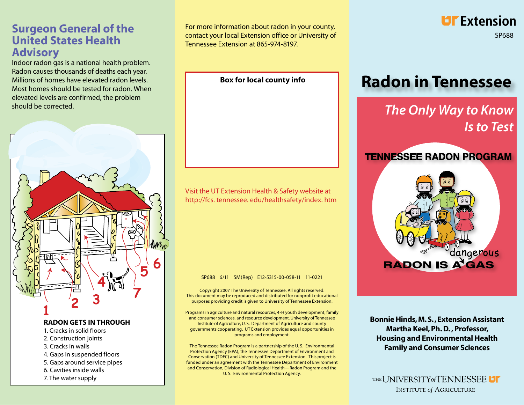#### **Surgeon General of the United States Health Advisory**

Indoor radon gas is a national health problem. Radon causes thousands of deaths each year. Millions of homes have elevated radon levels. Most homes should be tested for radon. When elevated levels are confirmed, the problem should be corrected.



#### **RADON GETS IN THROUGH**

- 1. Cracks in solid floors 2. Construction joints 3. Cracks in walls
- 
- 4. Gaps in suspended floors
- 5. Gaps around service pipes
- 6. Cavities inside walls
- 7. The water supply

For more information about radon in your county, contact your local Extension office or University of Tennessee Extension at 865-974-8197.

 **Box for local county info**

**UF** Extension **SP688** 

**Radon in Tennessee**

# *The Only Way to Know Is to Test*

#### **TENNESSEE RADON PROGRAM**



#### SP688 6/11 5M(Rep) E12-5315-00-058-11 11-0221

Visit the UT Extension Health & Safety website at http://fcs. tennessee. edu/healthsafety/index. htm

Copyright 2007 The University of Tennessee. All rights reserved. This document may be reproduced and distributed for nonprofit educational purposes providing credit is given to University of Tennessee Extension.

Programs in agriculture and natural resources, 4-H youth development, family and consumer sciences, and resource development. University of Tennessee Institute of Agriculture, U. S. Department of Agriculture and county governments cooperating. UT Extension provides equal opportunities in programs and employment.

The Tennessee Radon Program is a partnership of the U. S. Environmental Protection Agency (EPA), the Tennessee Department of Environment and Conservation (TDEC) and University of Tennessee Extension. This project is funded under an agreement with the Tennessee Department of Environment and Conservation, Division of Radiological Health—Radon Program and the U. S. Environmental Protection Agency.

**Bonnie Hinds, M.S., Extension Assistant Martha Keel, Ph.D., Professor, Housing and Environmental Health Family and Consumer Sciences**